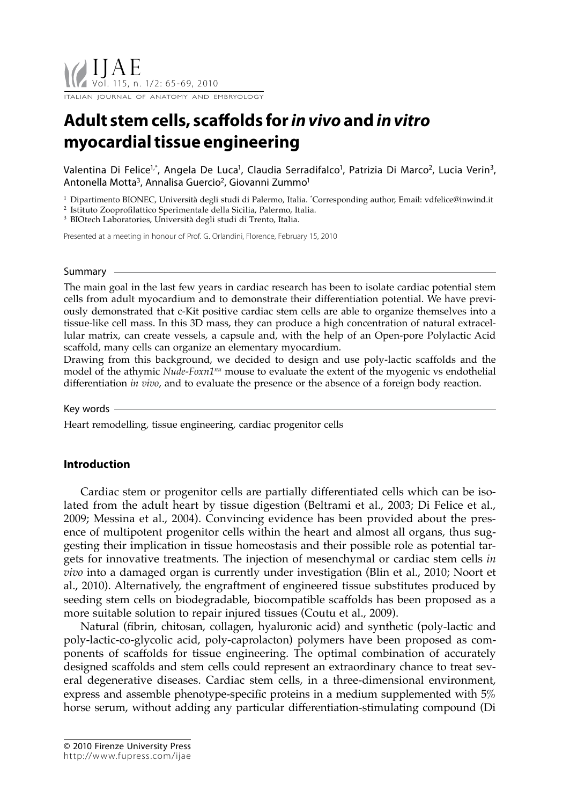# **Adult stem cells, scaff olds for** *in vivo* **and** *in vitro* **myocardial tissue engineering**

Valentina Di Felice<sup>1,\*</sup>, Angela De Luca<sup>1</sup>, Claudia Serradifalco<sup>1</sup>, Patrizia Di Marco<sup>2</sup>, Lucia Verin<sup>3</sup>, Antonella Motta<sup>3</sup>, Annalisa Guercio<sup>2</sup>, Giovanni Zummo<sup>1</sup>

1 Dipartimento BIONEC, Università degli studi di Palermo, Italia. \* Corresponding author, Email: vdfelice@inwind.it

<sup>2</sup> Istituto Zooprofilattico Sperimentale della Sicilia, Palermo, Italia.

3 BIOtech Laboratories, Università degli studi di Trento, Italia.

Presented at a meeting in honour of Prof. G. Orlandini, Florence, February 15, 2010

#### Summary -

The main goal in the last few years in cardiac research has been to isolate cardiac potential stem cells from adult myocardium and to demonstrate their differentiation potential. We have previously demonstrated that c-Kit positive cardiac stem cells are able to organize themselves into a tissuelike cell mass. In this 3D mass, they can produce a high concentration of natural extracellular matrix, can create vessels, a capsule and, with the help of an Open-pore Polylactic Acid scaffold, many cells can organize an elementary myocardium.

Drawing from this background, we decided to design and use poly-lactic scaffolds and the model of the athymic *Nude-Foxn1nu* mouse to evaluate the extent of the myogenic vs endothelial differentiation *in vivo*, and to evaluate the presence or the absence of a foreign body reaction.

#### Key words

Heart remodelling, tissue engineering, cardiac progenitor cells

## **Introduction**

Cardiac stem or progenitor cells are partially differentiated cells which can be isolated from the adult heart by tissue digestion (Beltrami et al., 2003; Di Felice et al., 2009; Messina et al., 2004). Convincing evidence has been provided about the presence of multipotent progenitor cells within the heart and almost all organs, thus suggesting their implication in tissue homeostasis and their possible role as potential targets for innovative treatments. The injection of mesenchymal or cardiac stem cells *in vivo* into a damaged organ is currently under investigation (Blin et al., 2010; Noort et al., 2010). Alternatively, the engraftment of engineered tissue substitutes produced by seeding stem cells on biodegradable, biocompatible scaffolds has been proposed as a more suitable solution to repair injured tissues (Coutu et al., 2009).

Natural (fibrin, chitosan, collagen, hyaluronic acid) and synthetic (poly-lactic and polylacticcoglycolic acid, polycaprolacton) polymers have been proposed as components of scaffolds for tissue engineering. The optimal combination of accurately designed scaffolds and stem cells could represent an extraordinary chance to treat several degenerative diseases. Cardiac stem cells, in a three-dimensional environment, express and assemble phenotype-specific proteins in a medium supplemented with 5% horse serum, without adding any particular differentiation-stimulating compound (Di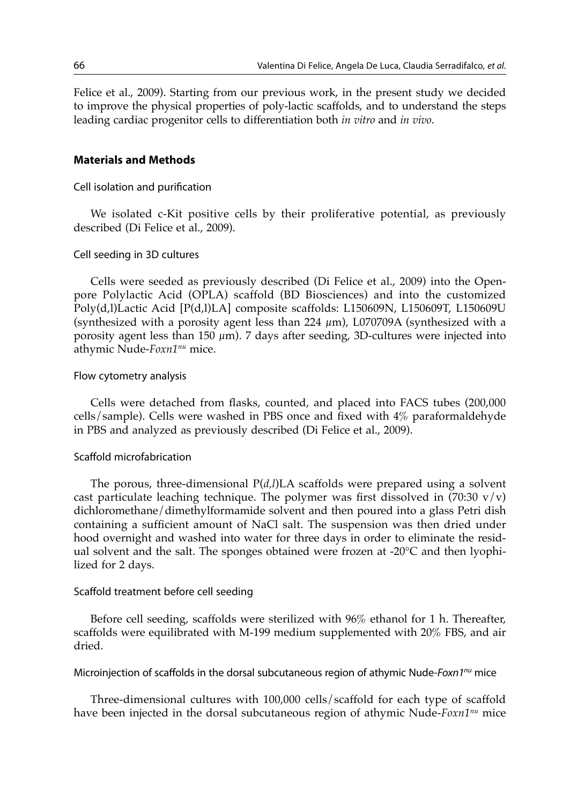Felice et al., 2009). Starting from our previous work, in the present study we decided to improve the physical properties of poly-lactic scaffolds, and to understand the steps leading cardiac progenitor cells to differentiation both *in vitro* and *in vivo*.

# **Materials and Methods**

## Cell isolation and purification

We isolated c-Kit positive cells by their proliferative potential, as previously described (Di Felice et al., 2009).

## Cell seeding in 3D cultures

Cells were seeded as previously described (Di Felice et al., 2009) into the Openpore Polylactic Acid (OPLA) scaffold (BD Biosciences) and into the customized Poly(d,l)Lactic Acid [P(d,l)LA] composite scaffolds: L150609N, L150609T, L150609U (synthesized with a porosity agent less than 224  $\mu$ m), L070709A (synthesized with a porosity agent less than 150  $\mu$ m). 7 days after seeding, 3D-cultures were injected into athymic Nude-*Foxn1nu* mice.

#### Flow cytometry analysis

Cells were detached from flasks, counted, and placed into FACS tubes (200,000 cells/sample). Cells were washed in PBS once and fixed with 4% paraformaldehyde in PBS and analyzed as previously described (Di Felice et al., 2009).

## Scaffold microfabrication

The porous, three-dimensional P(*d,l*)LA scaffolds were prepared using a solvent cast particulate leaching technique. The polymer was first dissolved in  $(70:30 \text{ v/v})$ dichloromethane/dimethylformamide solvent and then poured into a glass Petri dish containing a sufficient amount of NaCl salt. The suspension was then dried under hood overnight and washed into water for three days in order to eliminate the residual solvent and the salt. The sponges obtained were frozen at -20°C and then lyophilized for 2 days.

#### Scaffold treatment before cell seeding

Before cell seeding, scaffolds were sterilized with 96% ethanol for 1 h. Thereafter, scaffolds were equilibrated with M-199 medium supplemented with 20% FBS, and air dried.

Microinjection of scaffolds in the dorsal subcutaneous region of athymic Nude-*Foxn1nu* mice

Three-dimensional cultures with 100,000 cells/scaffold for each type of scaffold have been injected in the dorsal subcutaneous region of athymic Nude-Foxn1<sup>nu</sup> mice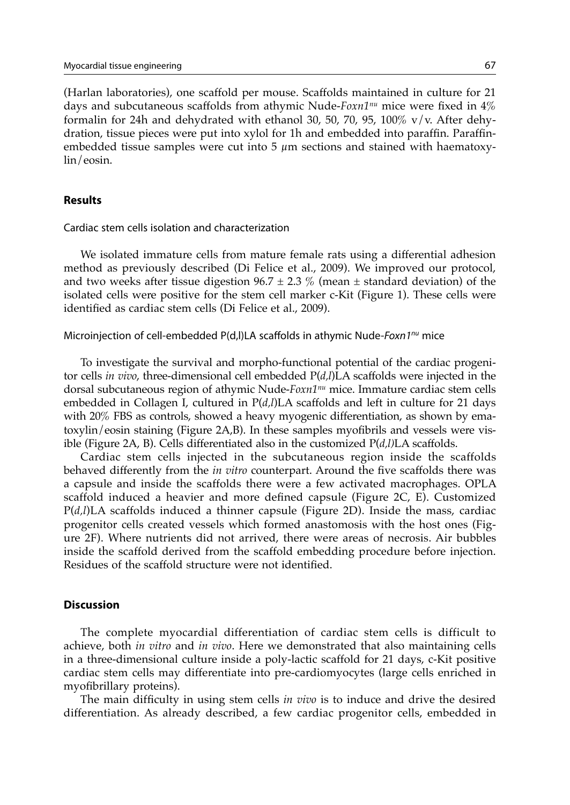(Harlan laboratories), one scaffold per mouse. Scaffolds maintained in culture for 21 days and subcutaneous scaffolds from athymic Nude*-Foxn1nu* mice were fixed in 4% formalin for 24h and dehydrated with ethanol 30, 50, 70, 95, 100%  $v/v$ . After dehydration, tissue pieces were put into xylol for 1h and embedded into paraffin. Paraffinembedded tissue samples were cut into  $5 \mu m$  sections and stained with haematoxylin/eosin.

# **Results**

Cardiac stem cells isolation and characterization

We isolated immature cells from mature female rats using a differential adhesion method as previously described (Di Felice et al., 2009). We improved our protocol, and two weeks after tissue digestion  $96.7 \pm 2.3$  % (mean  $\pm$  standard deviation) of the isolated cells were positive for the stem cell marker c-Kit (Figure 1). These cells were identified as cardiac stem cells (Di Felice et al., 2009).

Microinjection of cell-embedded P(d,l)LA scaffolds in athymic Nude-*Foxn1nu* mice

To investigate the survival and morpho-functional potential of the cardiac progenitor cells *in vivo*, three-dimensional cell embedded P(*d,l*)LA scaffolds were injected in the dorsal subcutaneous region of athymic Nude*-Foxn1nu* mice. Immature cardiac stem cells embedded in Collagen I, cultured in P(*d,l*)LA scaffolds and left in culture for 21 days with 20% FBS as controls, showed a heavy myogenic differentiation, as shown by ematoxylin/eosin staining (Figure 2A,B). In these samples myofibrils and vessels were visible (Figure 2A, B). Cells differentiated also in the customized  $P(d,l)LA$  scaffolds.

Cardiac stem cells injected in the subcutaneous region inside the scaffolds behaved differently from the *in vitro* counterpart. Around the five scaffolds there was a capsule and inside the scaffolds there were a few activated macrophages. OPLA scaffold induced a heavier and more defined capsule (Figure 2C, E). Customized P(*d,l*)LA scaffolds induced a thinner capsule (Figure 2D). Inside the mass, cardiac progenitor cells created vessels which formed anastomosis with the host ones (Figure 2F). Where nutrients did not arrived, there were areas of necrosis. Air bubbles inside the scaffold derived from the scaffold embedding procedure before injection. Residues of the scaffold structure were not identified.

## **Discussion**

The complete myocardial differentiation of cardiac stem cells is difficult to achieve, both *in vitro* and *in vivo*. Here we demonstrated that also maintaining cells in a three-dimensional culture inside a poly-lactic scaffold for 21 days, c-Kit positive cardiac stem cells may differentiate into pre-cardiomyocytes (large cells enriched in myofibrillary proteins).

The main difficulty in using stem cells *in vivo* is to induce and drive the desired differentiation. As already described, a few cardiac progenitor cells, embedded in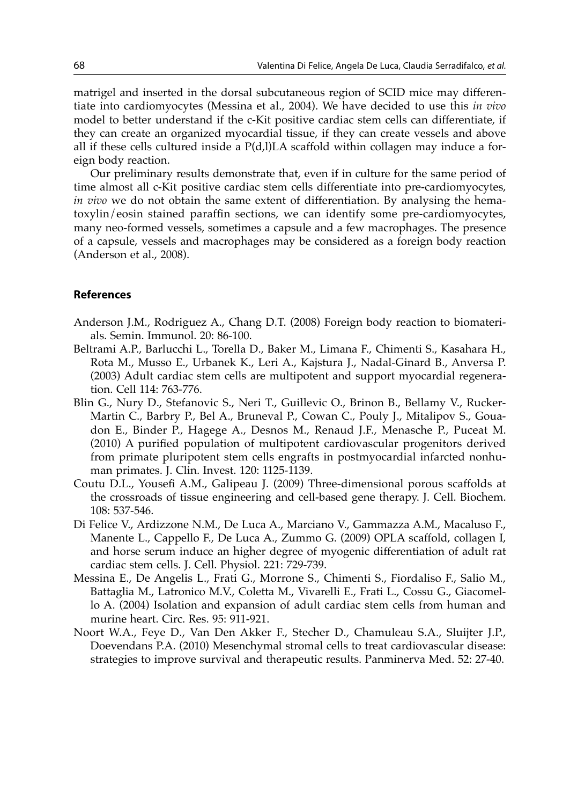matrigel and inserted in the dorsal subcutaneous region of SCID mice may differentiate into cardiomyocytes (Messina et al., 2004). We have decided to use this *in vivo* model to better understand if the c-Kit positive cardiac stem cells can differentiate, if they can create an organized myocardial tissue, if they can create vessels and above all if these cells cultured inside a  $P(d,l)LA$  scaffold within collagen may induce a foreign body reaction.

Our preliminary results demonstrate that, even if in culture for the same period of time almost all c-Kit positive cardiac stem cells differentiate into pre-cardiomyocytes, *in vivo* we do not obtain the same extent of differentiation. By analysing the hematoxylin/eosin stained paraffin sections, we can identify some pre-cardiomyocytes, many neo-formed vessels, sometimes a capsule and a few macrophages. The presence of a capsule, vessels and macrophages may be considered as a foreign body reaction (Anderson et al., 2008).

## **References**

- Anderson J.M., Rodriguez A., Chang D.T. (2008) Foreign body reaction to biomaterials. Semin. Immunol. 20: 86-100.
- Beltrami A.P., Barlucchi L., Torella D., Baker M., Limana F., Chimenti S., Kasahara H., Rota M., Musso E., Urbanek K., Leri A., Kajstura J., Nadal-Ginard B., Anversa P. (2003) Adult cardiac stem cells are multipotent and support myocardial regeneration. Cell 114: 763-776.
- Blin G., Nury D., Stefanovic S., Neri T., Guillevic O., Brinon B., Bellamy V., Rucker-Martin C., Barbry P., Bel A., Bruneval P., Cowan C., Pouly J., Mitalipov S., Gouadon E., Binder P., Hagege A., Desnos M., Renaud J.F., Menasche P., Puceat M. (2010) A purified population of multipotent cardiovascular progenitors derived from primate pluripotent stem cells engrafts in postmyocardial infarcted nonhuman primates. J. Clin. Invest. 120: 1125-1139.
- Coutu D.L., Yousefi A.M., Galipeau J. (2009) Three-dimensional porous scaffolds at the crossroads of tissue engineering and cell-based gene therapy. J. Cell. Biochem. 108: 537-546.
- Di Felice V., Ardizzone N.M., De Luca A., Marciano V., Gammazza A.M., Macaluso F., Manente L., Cappello F., De Luca A., Zummo G. (2009) OPLA scaffold, collagen I, and horse serum induce an higher degree of myogenic differentiation of adult rat cardiac stem cells. J. Cell. Physiol. 221: 729-739.
- Messina E., De Angelis L., Frati G., Morrone S., Chimenti S., Fiordaliso F., Salio M., Battaglia M., Latronico M.V., Coletta M., Vivarelli E., Frati L., Cossu G., Giacomello A. (2004) Isolation and expansion of adult cardiac stem cells from human and murine heart. Circ. Res. 95: 911-921.
- Noort W.A., Feye D., Van Den Akker F., Stecher D., Chamuleau S.A., Sluijter J.P., Doevendans P.A. (2010) Mesenchymal stromal cells to treat cardiovascular disease: strategies to improve survival and therapeutic results. Panminerva Med. 52: 27-40.